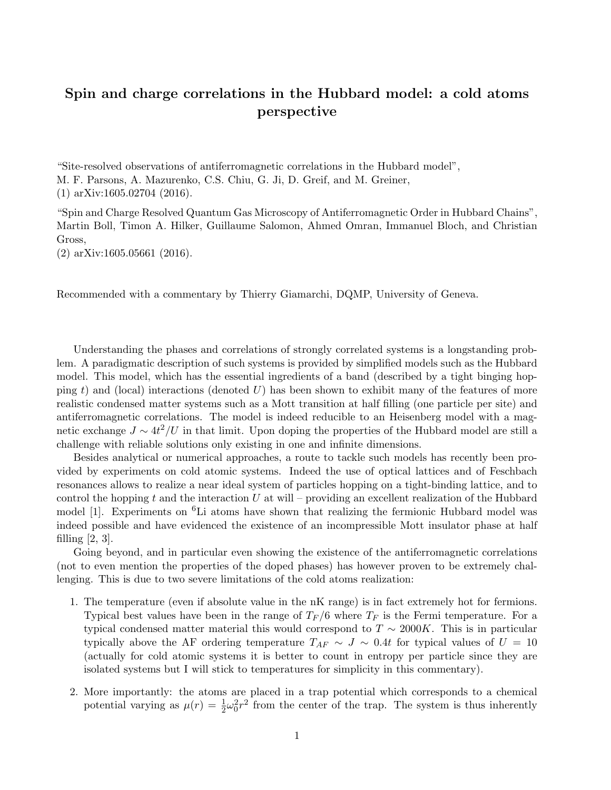## Spin and charge correlations in the Hubbard model: a cold atoms perspective

"Site-resolved observations of antiferromagnetic correlations in the Hubbard model", M. F. Parsons, A. Mazurenko, C.S. Chiu, G. Ji, D. Greif, and M. Greiner, (1) arXiv:1605.02704 (2016).

"Spin and Charge Resolved Quantum Gas Microscopy of Antiferromagnetic Order in Hubbard Chains", Martin Boll, Timon A. Hilker, Guillaume Salomon, Ahmed Omran, Immanuel Bloch, and Christian Gross,

(2) arXiv:1605.05661 (2016).

Recommended with a commentary by Thierry Giamarchi, DQMP, University of Geneva.

Understanding the phases and correlations of strongly correlated systems is a longstanding problem. A paradigmatic description of such systems is provided by simplified models such as the Hubbard model. This model, which has the essential ingredients of a band (described by a tight binging hopping *t*) and (local) interactions (denoted *U*) has been shown to exhibit many of the features of more realistic condensed matter systems such as a Mott transition at half filling (one particle per site) and antiferromagnetic correlations. The model is indeed reducible to an Heisenberg model with a magnetic exchange  $J \sim 4t^2/U$  in that limit. Upon doping the properties of the Hubbard model are still a challenge with reliable solutions only existing in one and infinite dimensions.

Besides analytical or numerical approaches, a route to tackle such models has recently been provided by experiments on cold atomic systems. Indeed the use of optical lattices and of Feschbach resonances allows to realize a near ideal system of particles hopping on a tight-binding lattice, and to control the hopping *t* and the interaction *U* at will – providing an excellent realization of the Hubbard model [1]. Experiments on  ${}^{6}$ Li atoms have shown that realizing the fermionic Hubbard model was indeed possible and have evidenced the existence of an incompressible Mott insulator phase at half filling  $[2, 3]$ .

Going beyond, and in particular even showing the existence of the antiferromagnetic correlations (not to even mention the properties of the doped phases) has however proven to be extremely challenging. This is due to two severe limitations of the cold atoms realization:

- 1. The temperature (even if absolute value in the nK range) is in fact extremely hot for fermions. Typical best values have been in the range of  $T_F/6$  where  $T_F$  is the Fermi temperature. For a typical condensed matter material this would correspond to  $T \sim 2000K$ . This is in particular typically above the AF ordering temperature  $T_{AF} \sim J \sim 0.4t$  for typical values of  $U = 10$ (actually for cold atomic systems it is better to count in entropy per particle since they are isolated systems but I will stick to temperatures for simplicity in this commentary).
- 2. More importantly: the atoms are placed in a trap potential which corresponds to a chemical potential varying as  $\mu(r) = \frac{1}{2}\omega_0^2 r^2$  from the center of the trap. The system is thus inherently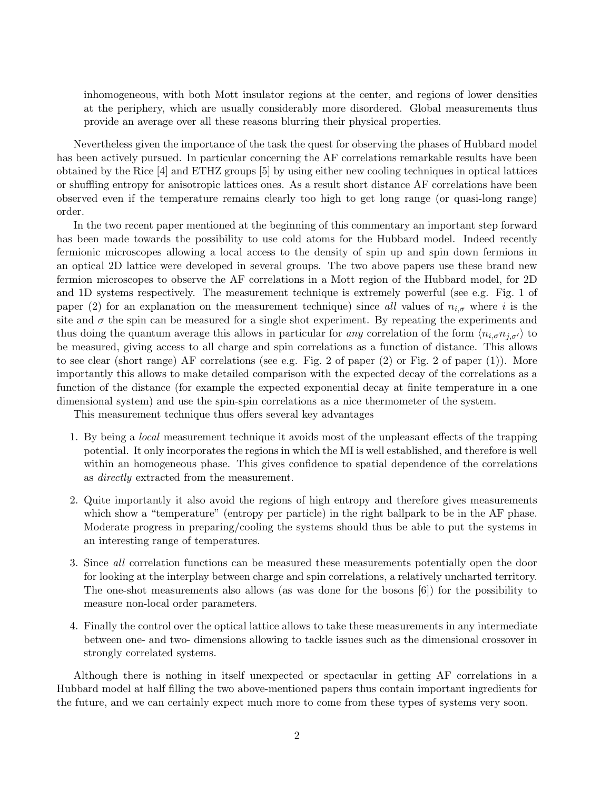inhomogeneous, with both Mott insulator regions at the center, and regions of lower densities at the periphery, which are usually considerably more disordered. Global measurements thus provide an average over all these reasons blurring their physical properties.

Nevertheless given the importance of the task the quest for observing the phases of Hubbard model has been actively pursued. In particular concerning the AF correlations remarkable results have been obtained by the Rice [4] and ETHZ groups [5] by using either new cooling techniques in optical lattices or shuffling entropy for anisotropic lattices ones. As a result short distance AF correlations have been observed even if the temperature remains clearly too high to get long range (or quasi-long range) order.

In the two recent paper mentioned at the beginning of this commentary an important step forward has been made towards the possibility to use cold atoms for the Hubbard model. Indeed recently fermionic microscopes allowing a local access to the density of spin up and spin down fermions in an optical 2D lattice were developed in several groups. The two above papers use these brand new fermion microscopes to observe the AF correlations in a Mott region of the Hubbard model, for 2D and 1D systems respectively. The measurement technique is extremely powerful (see e.g. Fig. 1 of paper (2) for an explanation on the measurement technique) since *all* values of  $n_{i,\sigma}$  where *i* is the site and  $\sigma$  the spin can be measured for a single shot experiment. By repeating the experiments and thus doing the quantum average this allows in particular for *any* correlation of the form  $\langle n_{i,\sigma} n_{j,\sigma'} \rangle$  to be measured, giving access to all charge and spin correlations as a function of distance. This allows to see clear (short range) AF correlations (see e.g. Fig. 2 of paper (2) or Fig. 2 of paper (1)). More importantly this allows to make detailed comparison with the expected decay of the correlations as a function of the distance (for example the expected exponential decay at finite temperature in a one dimensional system) and use the spin-spin correlations as a nice thermometer of the system.

This measurement technique thus offers several key advantages

- 1. By being a *local* measurement technique it avoids most of the unpleasant effects of the trapping potential. It only incorporates the regions in which the MI is well established, and therefore is well within an homogeneous phase. This gives confidence to spatial dependence of the correlations as *directly* extracted from the measurement.
- 2. Quite importantly it also avoid the regions of high entropy and therefore gives measurements which show a "temperature" (entropy per particle) in the right ballpark to be in the AF phase. Moderate progress in preparing/cooling the systems should thus be able to put the systems in an interesting range of temperatures.
- 3. Since *all* correlation functions can be measured these measurements potentially open the door for looking at the interplay between charge and spin correlations, a relatively uncharted territory. The one-shot measurements also allows (as was done for the bosons [6]) for the possibility to measure non-local order parameters.
- 4. Finally the control over the optical lattice allows to take these measurements in any intermediate between one- and two- dimensions allowing to tackle issues such as the dimensional crossover in strongly correlated systems.

Although there is nothing in itself unexpected or spectacular in getting AF correlations in a Hubbard model at half filling the two above-mentioned papers thus contain important ingredients for the future, and we can certainly expect much more to come from these types of systems very soon.